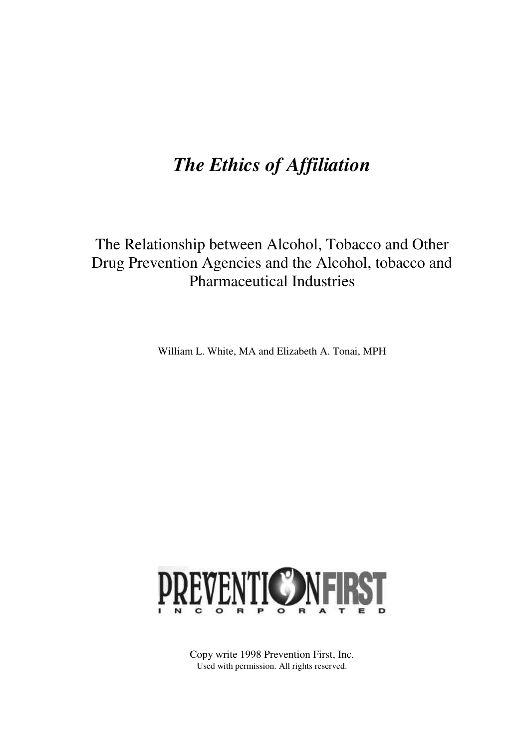# *The Ethics of Affiliation*

## The Relationship between Alcohol, Tobacco and Other Drug Prevention Agencies and the Alcohol, tobacco and Pharmaceutical Industries

William L. White, MA and Elizabeth A. Tonai, MPH



Copy write 1998 Prevention First, Inc. Used with permission. All rights reserved.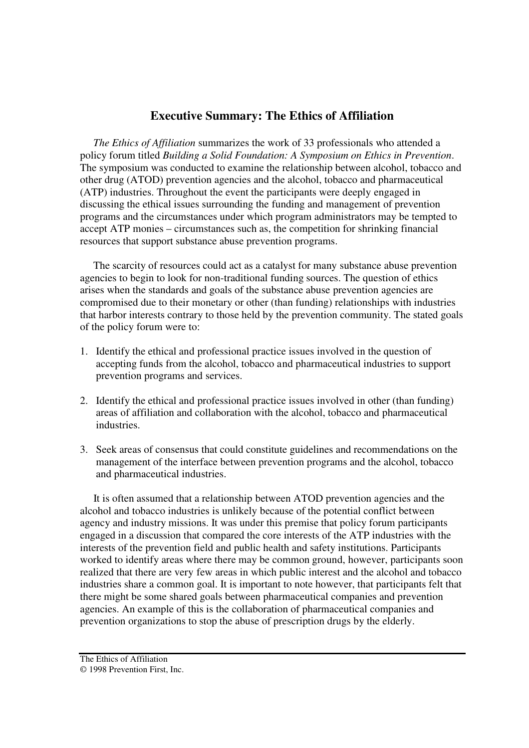## **Executive Summary: The Ethics of Affiliation**

 *The Ethics of Affiliation* summarizes the work of 33 professionals who attended a policy forum titled *Building a Solid Foundation: A Symposium on Ethics in Prevention*. The symposium was conducted to examine the relationship between alcohol, tobacco and other drug (ATOD) prevention agencies and the alcohol, tobacco and pharmaceutical (ATP) industries. Throughout the event the participants were deeply engaged in discussing the ethical issues surrounding the funding and management of prevention programs and the circumstances under which program administrators may be tempted to accept ATP monies – circumstances such as, the competition for shrinking financial resources that support substance abuse prevention programs.

 The scarcity of resources could act as a catalyst for many substance abuse prevention agencies to begin to look for non-traditional funding sources. The question of ethics arises when the standards and goals of the substance abuse prevention agencies are compromised due to their monetary or other (than funding) relationships with industries that harbor interests contrary to those held by the prevention community. The stated goals of the policy forum were to:

- 1. Identify the ethical and professional practice issues involved in the question of accepting funds from the alcohol, tobacco and pharmaceutical industries to support prevention programs and services.
- 2. Identify the ethical and professional practice issues involved in other (than funding) areas of affiliation and collaboration with the alcohol, tobacco and pharmaceutical industries.
- 3. Seek areas of consensus that could constitute guidelines and recommendations on the management of the interface between prevention programs and the alcohol, tobacco and pharmaceutical industries.

 It is often assumed that a relationship between ATOD prevention agencies and the alcohol and tobacco industries is unlikely because of the potential conflict between agency and industry missions. It was under this premise that policy forum participants engaged in a discussion that compared the core interests of the ATP industries with the interests of the prevention field and public health and safety institutions. Participants worked to identify areas where there may be common ground, however, participants soon realized that there are very few areas in which public interest and the alcohol and tobacco industries share a common goal. It is important to note however, that participants felt that there might be some shared goals between pharmaceutical companies and prevention agencies. An example of this is the collaboration of pharmaceutical companies and prevention organizations to stop the abuse of prescription drugs by the elderly.

The Ethics of Affiliation © 1998 Prevention First, Inc.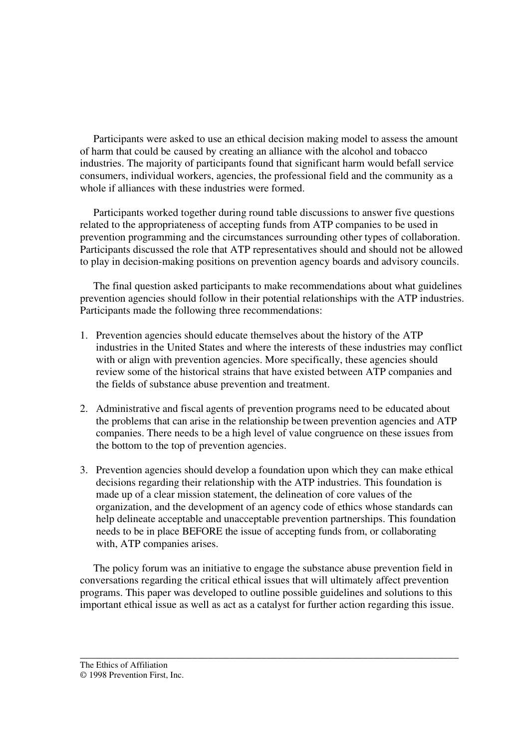Participants were asked to use an ethical decision making model to assess the amount of harm that could be caused by creating an alliance with the alcohol and tobacco industries. The majority of participants found that significant harm would befall service consumers, individual workers, agencies, the professional field and the community as a whole if alliances with these industries were formed.

 Participants worked together during round table discussions to answer five questions related to the appropriateness of accepting funds from ATP companies to be used in prevention programming and the circumstances surrounding other types of collaboration. Participants discussed the role that ATP representatives should and should not be allowed to play in decision-making positions on prevention agency boards and advisory councils.

 The final question asked participants to make recommendations about what guidelines prevention agencies should follow in their potential relationships with the ATP industries. Participants made the following three recommendations:

- 1. Prevention agencies should educate themselves about the history of the ATP industries in the United States and where the interests of these industries may conflict with or align with prevention agencies. More specifically, these agencies should review some of the historical strains that have existed between ATP companies and the fields of substance abuse prevention and treatment.
- 2. Administrative and fiscal agents of prevention programs need to be educated about the problems that can arise in the relationship be tween prevention agencies and ATP companies. There needs to be a high level of value congruence on these issues from the bottom to the top of prevention agencies.
- 3. Prevention agencies should develop a foundation upon which they can make ethical decisions regarding their relationship with the ATP industries. This foundation is made up of a clear mission statement, the delineation of core values of the organization, and the development of an agency code of ethics whose standards can help delineate acceptable and unacceptable prevention partnerships. This foundation needs to be in place BEFORE the issue of accepting funds from, or collaborating with, ATP companies arises.

 The policy forum was an initiative to engage the substance abuse prevention field in conversations regarding the critical ethical issues that will ultimately affect prevention programs. This paper was developed to outline possible guidelines and solutions to this important ethical issue as well as act as a catalyst for further action regarding this issue.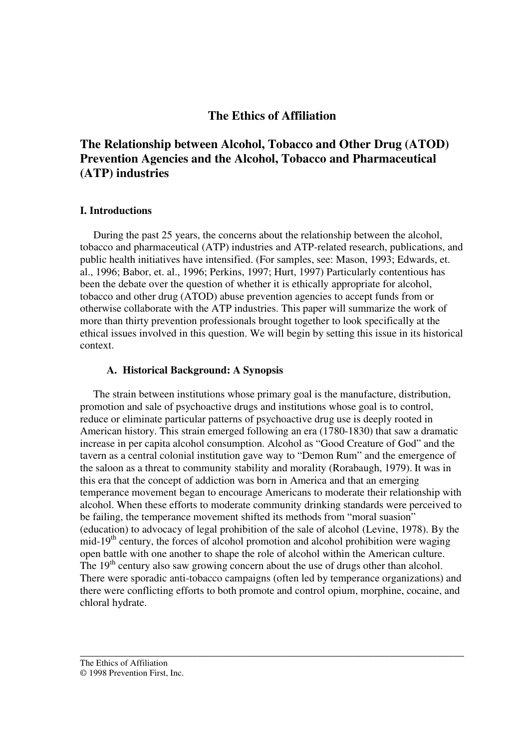## **The Ethics of Affiliation**

## **The Relationship between Alcohol, Tobacco and Other Drug (ATOD) Prevention Agencies and the Alcohol, Tobacco and Pharmaceutical (ATP) industries**

#### **I. Introductions**

 During the past 25 years, the concerns about the relationship between the alcohol, tobacco and pharmaceutical (ATP) industries and ATP-related research, publications, and public health initiatives have intensified. (For samples, see: Mason, 1993; Edwards, et. al., 1996; Babor, et. al., 1996; Perkins, 1997; Hurt, 1997) Particularly contentious has been the debate over the question of whether it is ethically appropriate for alcohol, tobacco and other drug (ATOD) abuse prevention agencies to accept funds from or otherwise collaborate with the ATP industries. This paper will summarize the work of more than thirty prevention professionals brought together to look specifically at the ethical issues involved in this question. We will begin by setting this issue in its historical context.

#### **A. Historical Background: A Synopsis**

 The strain between institutions whose primary goal is the manufacture, distribution, promotion and sale of psychoactive drugs and institutions whose goal is to control, reduce or eliminate particular patterns of psychoactive drug use is deeply rooted in American history. This strain emerged following an era (1780-1830) that saw a dramatic increase in per capita alcohol consumption. Alcohol as "Good Creature of God" and the tavern as a central colonial institution gave way to "Demon Rum" and the emergence of the saloon as a threat to community stability and morality (Rorabaugh, 1979). It was in this era that the concept of addiction was born in America and that an emerging temperance movement began to encourage Americans to moderate their relationship with alcohol. When these efforts to moderate community drinking standards were perceived to be failing, the temperance movement shifted its methods from "moral suasion" (education) to advocacy of legal prohibition of the sale of alcohol (Levine, 1978). By the mid-19<sup>th</sup> century, the forces of alcohol promotion and alcohol prohibition were waging open battle with one another to shape the role of alcohol within the American culture. The  $19<sup>th</sup>$  century also saw growing concern about the use of drugs other than alcohol. There were sporadic anti-tobacco campaigns (often led by temperance organizations) and there were conflicting efforts to both promote and control opium, morphine, cocaine, and chloral hydrate.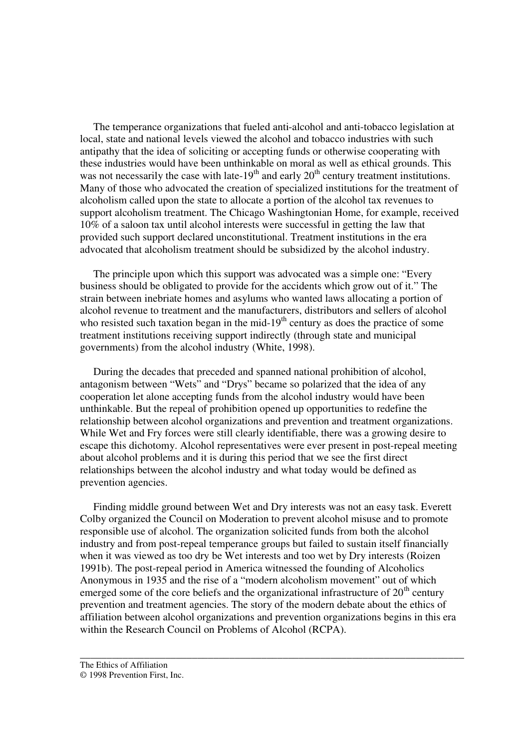The temperance organizations that fueled anti-alcohol and anti-tobacco legislation at local, state and national levels viewed the alcohol and tobacco industries with such antipathy that the idea of soliciting or accepting funds or otherwise cooperating with these industries would have been unthinkable on moral as well as ethical grounds. This was not necessarily the case with late-19<sup>th</sup> and early  $20<sup>th</sup>$  century treatment institutions. Many of those who advocated the creation of specialized institutions for the treatment of alcoholism called upon the state to allocate a portion of the alcohol tax revenues to support alcoholism treatment. The Chicago Washingtonian Home, for example, received 10% of a saloon tax until alcohol interests were successful in getting the law that provided such support declared unconstitutional. Treatment institutions in the era advocated that alcoholism treatment should be subsidized by the alcohol industry.

 The principle upon which this support was advocated was a simple one: "Every business should be obligated to provide for the accidents which grow out of it." The strain between inebriate homes and asylums who wanted laws allocating a portion of alcohol revenue to treatment and the manufacturers, distributors and sellers of alcohol who resisted such taxation began in the mid- $19<sup>th</sup>$  century as does the practice of some treatment institutions receiving support indirectly (through state and municipal governments) from the alcohol industry (White, 1998).

 During the decades that preceded and spanned national prohibition of alcohol, antagonism between "Wets" and "Drys" became so polarized that the idea of any cooperation let alone accepting funds from the alcohol industry would have been unthinkable. But the repeal of prohibition opened up opportunities to redefine the relationship between alcohol organizations and prevention and treatment organizations. While Wet and Fry forces were still clearly identifiable, there was a growing desire to escape this dichotomy. Alcohol representatives were ever present in post-repeal meeting about alcohol problems and it is during this period that we see the first direct relationships between the alcohol industry and what today would be defined as prevention agencies.

 Finding middle ground between Wet and Dry interests was not an easy task. Everett Colby organized the Council on Moderation to prevent alcohol misuse and to promote responsible use of alcohol. The organization solicited funds from both the alcohol industry and from post-repeal temperance groups but failed to sustain itself financially when it was viewed as too dry be Wet interests and too wet by Dry interests (Roizen 1991b). The post-repeal period in America witnessed the founding of Alcoholics Anonymous in 1935 and the rise of a "modern alcoholism movement" out of which emerged some of the core beliefs and the organizational infrastructure of  $20<sup>th</sup>$  century prevention and treatment agencies. The story of the modern debate about the ethics of affiliation between alcohol organizations and prevention organizations begins in this era within the Research Council on Problems of Alcohol (RCPA).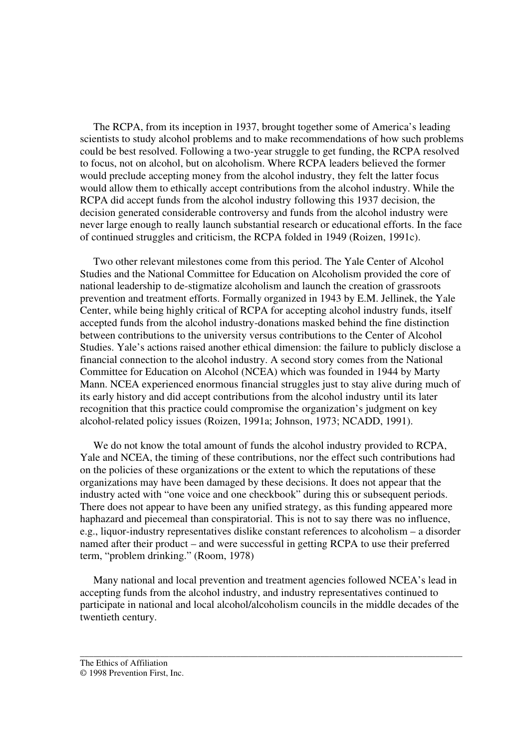The RCPA, from its inception in 1937, brought together some of America's leading scientists to study alcohol problems and to make recommendations of how such problems could be best resolved. Following a two-year struggle to get funding, the RCPA resolved to focus, not on alcohol, but on alcoholism. Where RCPA leaders believed the former would preclude accepting money from the alcohol industry, they felt the latter focus would allow them to ethically accept contributions from the alcohol industry. While the RCPA did accept funds from the alcohol industry following this 1937 decision, the decision generated considerable controversy and funds from the alcohol industry were never large enough to really launch substantial research or educational efforts. In the face of continued struggles and criticism, the RCPA folded in 1949 (Roizen, 1991c).

 Two other relevant milestones come from this period. The Yale Center of Alcohol Studies and the National Committee for Education on Alcoholism provided the core of national leadership to de-stigmatize alcoholism and launch the creation of grassroots prevention and treatment efforts. Formally organized in 1943 by E.M. Jellinek, the Yale Center, while being highly critical of RCPA for accepting alcohol industry funds, itself accepted funds from the alcohol industry-donations masked behind the fine distinction between contributions to the university versus contributions to the Center of Alcohol Studies. Yale's actions raised another ethical dimension: the failure to publicly disclose a financial connection to the alcohol industry. A second story comes from the National Committee for Education on Alcohol (NCEA) which was founded in 1944 by Marty Mann. NCEA experienced enormous financial struggles just to stay alive during much of its early history and did accept contributions from the alcohol industry until its later recognition that this practice could compromise the organization's judgment on key alcohol-related policy issues (Roizen, 1991a; Johnson, 1973; NCADD, 1991).

 We do not know the total amount of funds the alcohol industry provided to RCPA, Yale and NCEA, the timing of these contributions, nor the effect such contributions had on the policies of these organizations or the extent to which the reputations of these organizations may have been damaged by these decisions. It does not appear that the industry acted with "one voice and one checkbook" during this or subsequent periods. There does not appear to have been any unified strategy, as this funding appeared more haphazard and piecemeal than conspiratorial. This is not to say there was no influence, e.g., liquor-industry representatives dislike constant references to alcoholism – a disorder named after their product – and were successful in getting RCPA to use their preferred term, "problem drinking." (Room, 1978)

 Many national and local prevention and treatment agencies followed NCEA's lead in accepting funds from the alcohol industry, and industry representatives continued to participate in national and local alcohol/alcoholism councils in the middle decades of the twentieth century.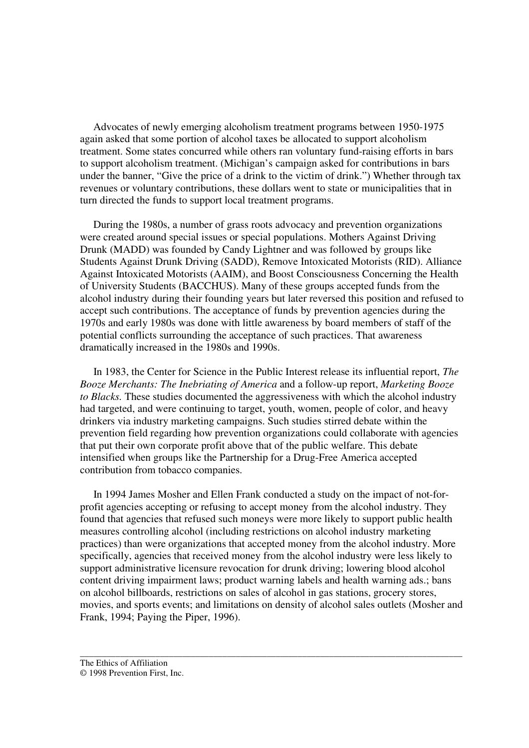Advocates of newly emerging alcoholism treatment programs between 1950-1975 again asked that some portion of alcohol taxes be allocated to support alcoholism treatment. Some states concurred while others ran voluntary fund-raising efforts in bars to support alcoholism treatment. (Michigan's campaign asked for contributions in bars under the banner, "Give the price of a drink to the victim of drink.") Whether through tax revenues or voluntary contributions, these dollars went to state or municipalities that in turn directed the funds to support local treatment programs.

 During the 1980s, a number of grass roots advocacy and prevention organizations were created around special issues or special populations. Mothers Against Driving Drunk (MADD) was founded by Candy Lightner and was followed by groups like Students Against Drunk Driving (SADD), Remove Intoxicated Motorists (RID). Alliance Against Intoxicated Motorists (AAIM), and Boost Consciousness Concerning the Health of University Students (BACCHUS). Many of these groups accepted funds from the alcohol industry during their founding years but later reversed this position and refused to accept such contributions. The acceptance of funds by prevention agencies during the 1970s and early 1980s was done with little awareness by board members of staff of the potential conflicts surrounding the acceptance of such practices. That awareness dramatically increased in the 1980s and 1990s.

 In 1983, the Center for Science in the Public Interest release its influential report, *The Booze Merchants: The Inebriating of America* and a follow-up report, *Marketing Booze to Blacks.* These studies documented the aggressiveness with which the alcohol industry had targeted, and were continuing to target, youth, women, people of color, and heavy drinkers via industry marketing campaigns. Such studies stirred debate within the prevention field regarding how prevention organizations could collaborate with agencies that put their own corporate profit above that of the public welfare. This debate intensified when groups like the Partnership for a Drug-Free America accepted contribution from tobacco companies.

 In 1994 James Mosher and Ellen Frank conducted a study on the impact of not-forprofit agencies accepting or refusing to accept money from the alcohol industry. They found that agencies that refused such moneys were more likely to support public health measures controlling alcohol (including restrictions on alcohol industry marketing practices) than were organizations that accepted money from the alcohol industry. More specifically, agencies that received money from the alcohol industry were less likely to support administrative licensure revocation for drunk driving; lowering blood alcohol content driving impairment laws; product warning labels and health warning ads.; bans on alcohol billboards, restrictions on sales of alcohol in gas stations, grocery stores, movies, and sports events; and limitations on density of alcohol sales outlets (Mosher and Frank, 1994; Paying the Piper, 1996).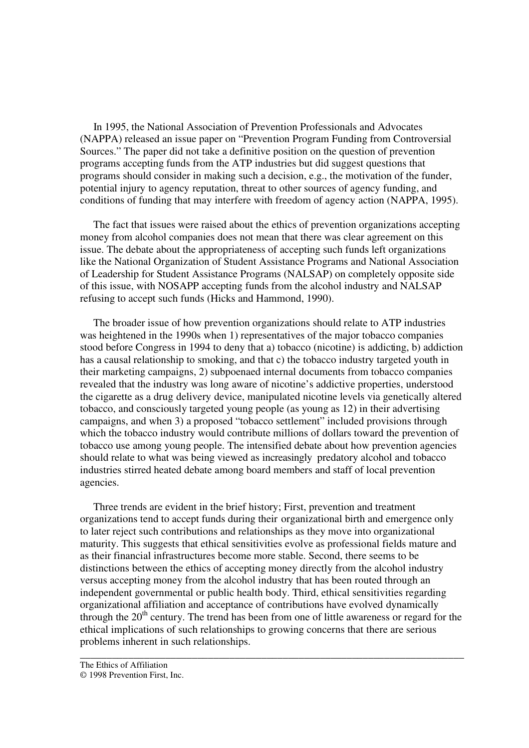In 1995, the National Association of Prevention Professionals and Advocates (NAPPA) released an issue paper on "Prevention Program Funding from Controversial Sources." The paper did not take a definitive position on the question of prevention programs accepting funds from the ATP industries but did suggest questions that programs should consider in making such a decision, e.g., the motivation of the funder, potential injury to agency reputation, threat to other sources of agency funding, and conditions of funding that may interfere with freedom of agency action (NAPPA, 1995).

 The fact that issues were raised about the ethics of prevention organizations accepting money from alcohol companies does not mean that there was clear agreement on this issue. The debate about the appropriateness of accepting such funds left organizations like the National Organization of Student Assistance Programs and National Association of Leadership for Student Assistance Programs (NALSAP) on completely opposite side of this issue, with NOSAPP accepting funds from the alcohol industry and NALSAP refusing to accept such funds (Hicks and Hammond, 1990).

 The broader issue of how prevention organizations should relate to ATP industries was heightened in the 1990s when 1) representatives of the major tobacco companies stood before Congress in 1994 to deny that a) tobacco (nicotine) is addicting, b) addiction has a causal relationship to smoking, and that c) the tobacco industry targeted youth in their marketing campaigns, 2) subpoenaed internal documents from tobacco companies revealed that the industry was long aware of nicotine's addictive properties, understood the cigarette as a drug delivery device, manipulated nicotine levels via genetically altered tobacco, and consciously targeted young people (as young as 12) in their advertising campaigns, and when 3) a proposed "tobacco settlement" included provisions through which the tobacco industry would contribute millions of dollars toward the prevention of tobacco use among young people. The intensified debate about how prevention agencies should relate to what was being viewed as increasingly predatory alcohol and tobacco industries stirred heated debate among board members and staff of local prevention agencies.

 Three trends are evident in the brief history; First, prevention and treatment organizations tend to accept funds during their organizational birth and emergence only to later reject such contributions and relationships as they move into organizational maturity. This suggests that ethical sensitivities evolve as professional fields mature and as their financial infrastructures become more stable. Second, there seems to be distinctions between the ethics of accepting money directly from the alcohol industry versus accepting money from the alcohol industry that has been routed through an independent governmental or public health body. Third, ethical sensitivities regarding organizational affiliation and acceptance of contributions have evolved dynamically through the  $20<sup>th</sup>$  century. The trend has been from one of little awareness or regard for the ethical implications of such relationships to growing concerns that there are serious problems inherent in such relationships.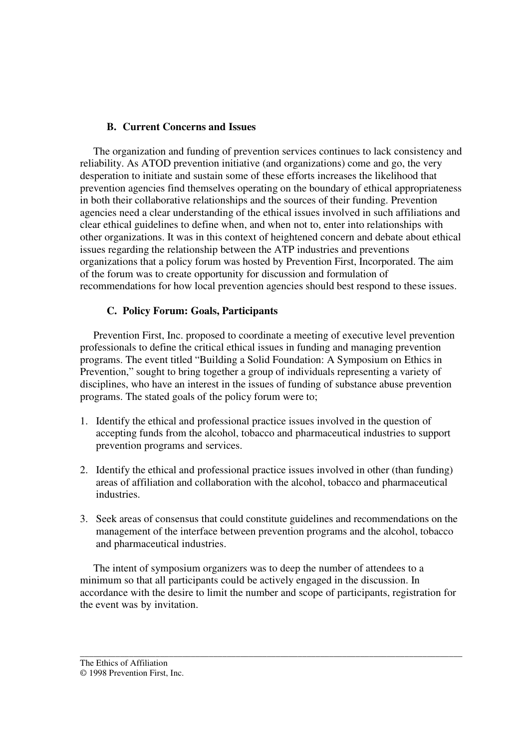#### **B. Current Concerns and Issues**

 The organization and funding of prevention services continues to lack consistency and reliability. As ATOD prevention initiative (and organizations) come and go, the very desperation to initiate and sustain some of these efforts increases the likelihood that prevention agencies find themselves operating on the boundary of ethical appropriateness in both their collaborative relationships and the sources of their funding. Prevention agencies need a clear understanding of the ethical issues involved in such affiliations and clear ethical guidelines to define when, and when not to, enter into relationships with other organizations. It was in this context of heightened concern and debate about ethical issues regarding the relationship between the ATP industries and preventions organizations that a policy forum was hosted by Prevention First, Incorporated. The aim of the forum was to create opportunity for discussion and formulation of recommendations for how local prevention agencies should best respond to these issues.

## **C. Policy Forum: Goals, Participants**

 Prevention First, Inc. proposed to coordinate a meeting of executive level prevention professionals to define the critical ethical issues in funding and managing prevention programs. The event titled "Building a Solid Foundation: A Symposium on Ethics in Prevention," sought to bring together a group of individuals representing a variety of disciplines, who have an interest in the issues of funding of substance abuse prevention programs. The stated goals of the policy forum were to;

- 1. Identify the ethical and professional practice issues involved in the question of accepting funds from the alcohol, tobacco and pharmaceutical industries to support prevention programs and services.
- 2. Identify the ethical and professional practice issues involved in other (than funding) areas of affiliation and collaboration with the alcohol, tobacco and pharmaceutical industries.
- 3. Seek areas of consensus that could constitute guidelines and recommendations on the management of the interface between prevention programs and the alcohol, tobacco and pharmaceutical industries.

 The intent of symposium organizers was to deep the number of attendees to a minimum so that all participants could be actively engaged in the discussion. In accordance with the desire to limit the number and scope of participants, registration for the event was by invitation.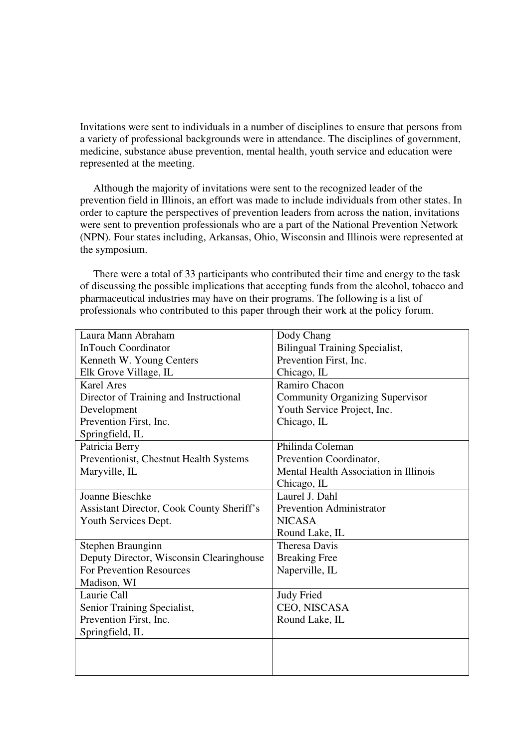Invitations were sent to individuals in a number of disciplines to ensure that persons from a variety of professional backgrounds were in attendance. The disciplines of government, medicine, substance abuse prevention, mental health, youth service and education were represented at the meeting.

 Although the majority of invitations were sent to the recognized leader of the prevention field in Illinois, an effort was made to include individuals from other states. In order to capture the perspectives of prevention leaders from across the nation, invitations were sent to prevention professionals who are a part of the National Prevention Network (NPN). Four states including, Arkansas, Ohio, Wisconsin and Illinois were represented at the symposium.

 There were a total of 33 participants who contributed their time and energy to the task of discussing the possible implications that accepting funds from the alcohol, tobacco and pharmaceutical industries may have on their programs. The following is a list of professionals who contributed to this paper through their work at the policy forum.

| Laura Mann Abraham                        | Dody Chang                             |
|-------------------------------------------|----------------------------------------|
| <b>InTouch Coordinator</b>                | <b>Bilingual Training Specialist,</b>  |
| Kenneth W. Young Centers                  | Prevention First, Inc.                 |
| Elk Grove Village, IL                     | Chicago, IL                            |
| <b>Karel Ares</b>                         | Ramiro Chacon                          |
| Director of Training and Instructional    | <b>Community Organizing Supervisor</b> |
| Development                               | Youth Service Project, Inc.            |
| Prevention First, Inc.                    | Chicago, IL                            |
| Springfield, IL                           |                                        |
| Patricia Berry                            | Philinda Coleman                       |
| Preventionist, Chestnut Health Systems    | Prevention Coordinator,                |
| Maryville, IL                             | Mental Health Association in Illinois  |
|                                           | Chicago, IL                            |
| Joanne Bieschke                           | Laurel J. Dahl                         |
| Assistant Director, Cook County Sheriff's | <b>Prevention Administrator</b>        |
| Youth Services Dept.                      | <b>NICASA</b>                          |
|                                           | Round Lake, IL                         |
| Stephen Braunginn                         | <b>Theresa Davis</b>                   |
| Deputy Director, Wisconsin Clearinghouse  | <b>Breaking Free</b>                   |
| For Prevention Resources                  | Naperville, IL                         |
| Madison, WI                               |                                        |
| Laurie Call                               | <b>Judy Fried</b>                      |
| Senior Training Specialist,               | CEO, NISCASA                           |
| Prevention First, Inc.                    | Round Lake, IL                         |
| Springfield, IL                           |                                        |
|                                           |                                        |
|                                           |                                        |
|                                           |                                        |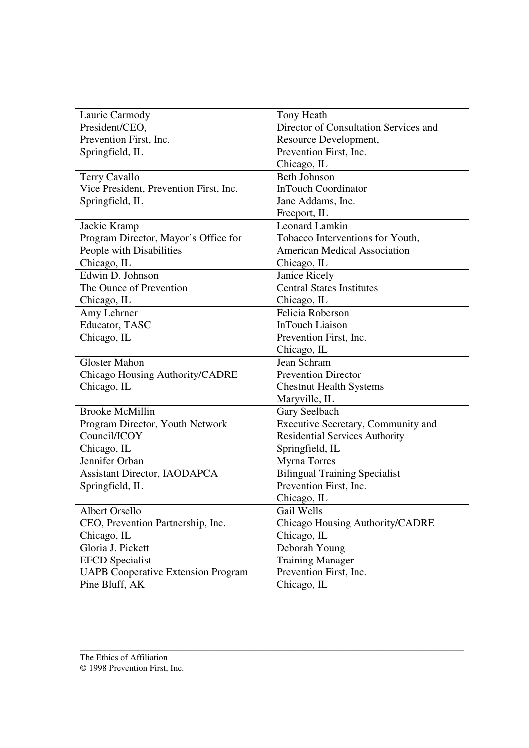| Laurie Carmody                            | Tony Heath                            |
|-------------------------------------------|---------------------------------------|
| President/CEO,                            | Director of Consultation Services and |
| Prevention First, Inc.                    | Resource Development,                 |
| Springfield, IL                           | Prevention First, Inc.                |
|                                           | Chicago, IL                           |
| Terry Cavallo                             | <b>Beth Johnson</b>                   |
| Vice President, Prevention First, Inc.    | <b>InTouch Coordinator</b>            |
| Springfield, IL                           | Jane Addams, Inc.                     |
|                                           | Freeport, IL                          |
| Jackie Kramp                              | <b>Leonard Lamkin</b>                 |
| Program Director, Mayor's Office for      | Tobacco Interventions for Youth,      |
| People with Disabilities                  | <b>American Medical Association</b>   |
| Chicago, IL                               | Chicago, IL                           |
| Edwin D. Johnson                          | Janice Ricely                         |
| The Ounce of Prevention                   | <b>Central States Institutes</b>      |
| Chicago, IL                               | Chicago, IL                           |
| Amy Lehrner                               | Felicia Roberson                      |
| Educator, TASC                            | <b>InTouch Liaison</b>                |
| Chicago, IL                               | Prevention First, Inc.                |
|                                           | Chicago, IL                           |
| <b>Gloster Mahon</b>                      | Jean Schram                           |
| Chicago Housing Authority/CADRE           | <b>Prevention Director</b>            |
| Chicago, IL                               | <b>Chestnut Health Systems</b>        |
|                                           | Maryville, IL                         |
| <b>Brooke McMillin</b>                    | Gary Seelbach                         |
| Program Director, Youth Network           | Executive Secretary, Community and    |
| Council/ICOY                              | <b>Residential Services Authority</b> |
| Chicago, IL                               | Springfield, IL                       |
| Jennifer Orban                            | <b>Myrna Torres</b>                   |
| <b>Assistant Director, IAODAPCA</b>       | <b>Bilingual Training Specialist</b>  |
| Springfield, IL                           | Prevention First, Inc.                |
|                                           | Chicago, IL                           |
| Albert Orsello                            | Gail Wells                            |
| CEO, Prevention Partnership, Inc.         | Chicago Housing Authority/CADRE       |
| Chicago, IL                               | Chicago, IL                           |
| Gloria J. Pickett                         | Deborah Young                         |
| <b>EFCD</b> Specialist                    | <b>Training Manager</b>               |
| <b>UAPB Cooperative Extension Program</b> | Prevention First, Inc.                |
| Pine Bluff, AK                            | Chicago, IL                           |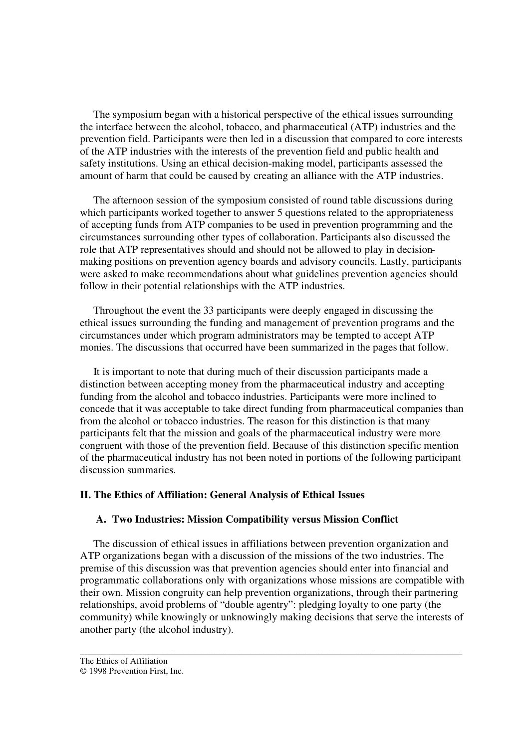The symposium began with a historical perspective of the ethical issues surrounding the interface between the alcohol, tobacco, and pharmaceutical (ATP) industries and the prevention field. Participants were then led in a discussion that compared to core interests of the ATP industries with the interests of the prevention field and public health and safety institutions. Using an ethical decision-making model, participants assessed the amount of harm that could be caused by creating an alliance with the ATP industries.

 The afternoon session of the symposium consisted of round table discussions during which participants worked together to answer 5 questions related to the appropriateness of accepting funds from ATP companies to be used in prevention programming and the circumstances surrounding other types of collaboration. Participants also discussed the role that ATP representatives should and should not be allowed to play in decisionmaking positions on prevention agency boards and advisory councils. Lastly, participants were asked to make recommendations about what guidelines prevention agencies should follow in their potential relationships with the ATP industries.

 Throughout the event the 33 participants were deeply engaged in discussing the ethical issues surrounding the funding and management of prevention programs and the circumstances under which program administrators may be tempted to accept ATP monies. The discussions that occurred have been summarized in the pages that follow.

 It is important to note that during much of their discussion participants made a distinction between accepting money from the pharmaceutical industry and accepting funding from the alcohol and tobacco industries. Participants were more inclined to concede that it was acceptable to take direct funding from pharmaceutical companies than from the alcohol or tobacco industries. The reason for this distinction is that many participants felt that the mission and goals of the pharmaceutical industry were more congruent with those of the prevention field. Because of this distinction specific mention of the pharmaceutical industry has not been noted in portions of the following participant discussion summaries.

## **II. The Ethics of Affiliation: General Analysis of Ethical Issues**

## **A. Two Industries: Mission Compatibility versus Mission Conflict**

 The discussion of ethical issues in affiliations between prevention organization and ATP organizations began with a discussion of the missions of the two industries. The premise of this discussion was that prevention agencies should enter into financial and programmatic collaborations only with organizations whose missions are compatible with their own. Mission congruity can help prevention organizations, through their partnering relationships, avoid problems of "double agentry": pledging loyalty to one party (the community) while knowingly or unknowingly making decisions that serve the interests of another party (the alcohol industry).

<sup>© 1998</sup> Prevention First, Inc.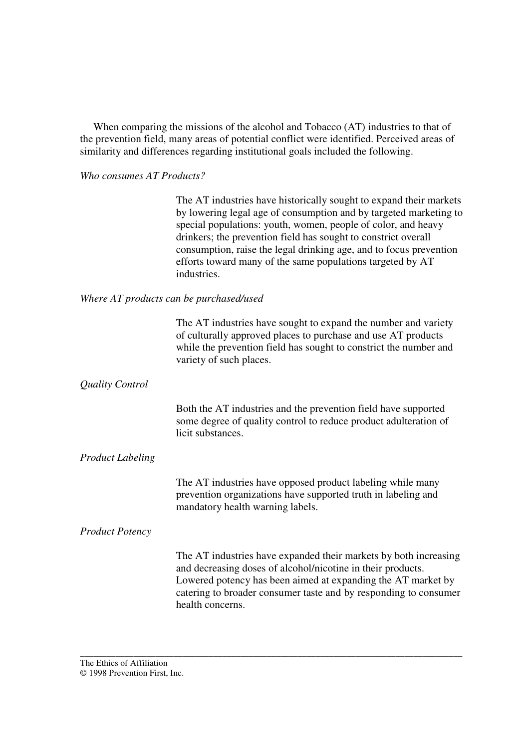When comparing the missions of the alcohol and Tobacco (AT) industries to that of the prevention field, many areas of potential conflict were identified. Perceived areas of similarity and differences regarding institutional goals included the following.

## *Who consumes AT Products?*

The AT industries have historically sought to expand their markets by lowering legal age of consumption and by targeted marketing to special populations: youth, women, people of color, and heavy drinkers; the prevention field has sought to constrict overall consumption, raise the legal drinking age, and to focus prevention efforts toward many of the same populations targeted by AT industries.

## *Where AT products can be purchased/used*

|                         | The AT industries have sought to expand the number and variety<br>of culturally approved places to purchase and use AT products<br>while the prevention field has sought to constrict the number and<br>variety of such places.                                                         |
|-------------------------|-----------------------------------------------------------------------------------------------------------------------------------------------------------------------------------------------------------------------------------------------------------------------------------------|
| <b>Quality Control</b>  |                                                                                                                                                                                                                                                                                         |
|                         | Both the AT industries and the prevention field have supported<br>some degree of quality control to reduce product adulteration of<br>licit substances.                                                                                                                                 |
| <b>Product Labeling</b> |                                                                                                                                                                                                                                                                                         |
|                         | The AT industries have opposed product labeling while many<br>prevention organizations have supported truth in labeling and<br>mandatory health warning labels.                                                                                                                         |
| <b>Product Potency</b>  |                                                                                                                                                                                                                                                                                         |
|                         | The AT industries have expanded their markets by both increasing<br>and decreasing doses of alcohol/nicotine in their products.<br>Lowered potency has been aimed at expanding the AT market by<br>catering to broader consumer taste and by responding to consumer<br>health concerns. |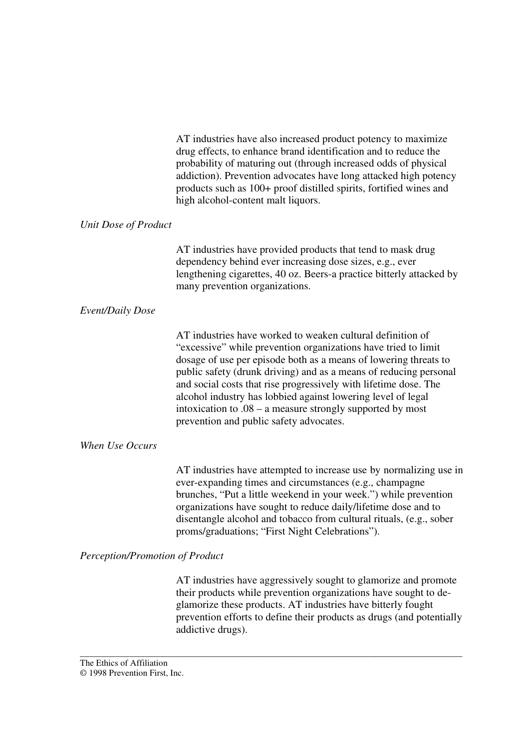AT industries have also increased product potency to maximize drug effects, to enhance brand identification and to reduce the probability of maturing out (through increased odds of physical addiction). Prevention advocates have long attacked high potency products such as 100+ proof distilled spirits, fortified wines and high alcohol-content malt liquors.

## *Unit Dose of Product*

AT industries have provided products that tend to mask drug dependency behind ever increasing dose sizes, e.g., ever lengthening cigarettes, 40 oz. Beers-a practice bitterly attacked by many prevention organizations.

## *Event/Daily Dose*

AT industries have worked to weaken cultural definition of "excessive" while prevention organizations have tried to limit dosage of use per episode both as a means of lowering threats to public safety (drunk driving) and as a means of reducing personal and social costs that rise progressively with lifetime dose. The alcohol industry has lobbied against lowering level of legal intoxication to .08 – a measure strongly supported by most prevention and public safety advocates.

## *When Use Occurs*

AT industries have attempted to increase use by normalizing use in ever-expanding times and circumstances (e.g., champagne brunches, "Put a little weekend in your week.") while prevention organizations have sought to reduce daily/lifetime dose and to disentangle alcohol and tobacco from cultural rituals, (e.g., sober proms/graduations; "First Night Celebrations").

## *Perception/Promotion of Product*

AT industries have aggressively sought to glamorize and promote their products while prevention organizations have sought to deglamorize these products. AT industries have bitterly fought prevention efforts to define their products as drugs (and potentially addictive drugs).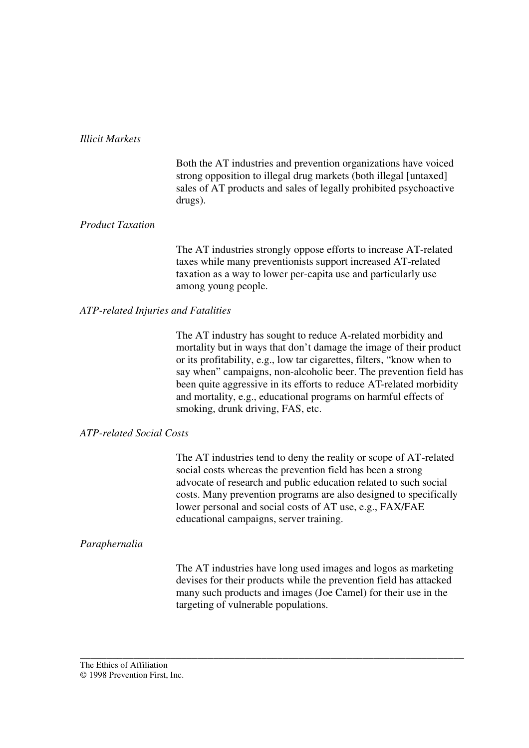#### *Illicit Markets*

Both the AT industries and prevention organizations have voiced strong opposition to illegal drug markets (both illegal [untaxed] sales of AT products and sales of legally prohibited psychoactive drugs).

#### *Product Taxation*

The AT industries strongly oppose efforts to increase AT-related taxes while many preventionists support increased AT-related taxation as a way to lower per-capita use and particularly use among young people.

#### *ATP-related Injuries and Fatalities*

The AT industry has sought to reduce A-related morbidity and mortality but in ways that don't damage the image of their product or its profitability, e.g., low tar cigarettes, filters, "know when to say when" campaigns, non-alcoholic beer. The prevention field has been quite aggressive in its efforts to reduce AT-related morbidity and mortality, e.g., educational programs on harmful effects of smoking, drunk driving, FAS, etc.

## *ATP-related Social Costs*

The AT industries tend to deny the reality or scope of AT-related social costs whereas the prevention field has been a strong advocate of research and public education related to such social costs. Many prevention programs are also designed to specifically lower personal and social costs of AT use, e.g., FAX/FAE educational campaigns, server training.

#### *Paraphernalia*

The AT industries have long used images and logos as marketing devises for their products while the prevention field has attacked many such products and images (Joe Camel) for their use in the targeting of vulnerable populations.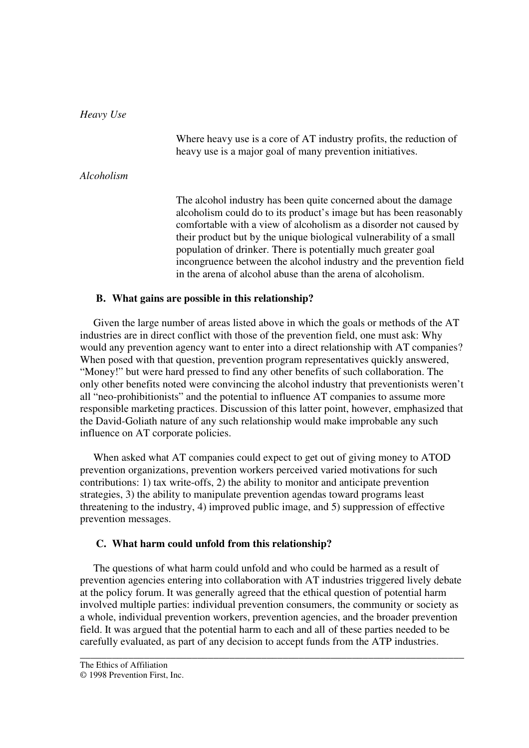*Heavy Use*  Where heavy use is a core of AT industry profits, the reduction of heavy use is a major goal of many prevention initiatives. *Alcoholism* The alcohol industry has been quite concerned about the damage alcoholism could do to its product's image but has been reasonably comfortable with a view of alcoholism as a disorder not caused by their product but by the unique biological vulnerability of a small population of drinker. There is potentially much greater goal incongruence between the alcohol industry and the prevention field in the arena of alcohol abuse than the arena of alcoholism.

#### **B. What gains are possible in this relationship?**

 Given the large number of areas listed above in which the goals or methods of the AT industries are in direct conflict with those of the prevention field, one must ask: Why would any prevention agency want to enter into a direct relationship with AT companies? When posed with that question, prevention program representatives quickly answered, "Money!" but were hard pressed to find any other benefits of such collaboration. The only other benefits noted were convincing the alcohol industry that preventionists weren't all "neo-prohibitionists" and the potential to influence AT companies to assume more responsible marketing practices. Discussion of this latter point, however, emphasized that the David-Goliath nature of any such relationship would make improbable any such influence on AT corporate policies.

 When asked what AT companies could expect to get out of giving money to ATOD prevention organizations, prevention workers perceived varied motivations for such contributions: 1) tax write-offs, 2) the ability to monitor and anticipate prevention strategies, 3) the ability to manipulate prevention agendas toward programs least threatening to the industry, 4) improved public image, and 5) suppression of effective prevention messages.

#### **C. What harm could unfold from this relationship?**

 The questions of what harm could unfold and who could be harmed as a result of prevention agencies entering into collaboration with AT industries triggered lively debate at the policy forum. It was generally agreed that the ethical question of potential harm involved multiple parties: individual prevention consumers, the community or society as a whole, individual prevention workers, prevention agencies, and the broader prevention field. It was argued that the potential harm to each and all of these parties needed to be carefully evaluated, as part of any decision to accept funds from the ATP industries.

<sup>© 1998</sup> Prevention First, Inc.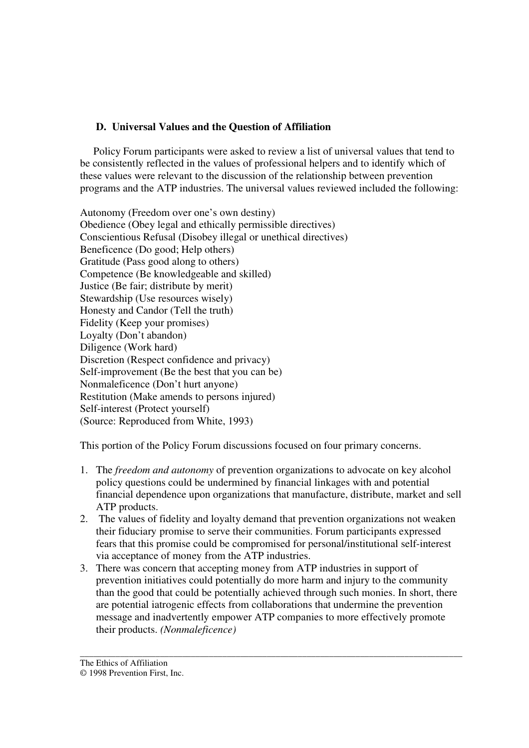## **D. Universal Values and the Question of Affiliation**

 Policy Forum participants were asked to review a list of universal values that tend to be consistently reflected in the values of professional helpers and to identify which of these values were relevant to the discussion of the relationship between prevention programs and the ATP industries. The universal values reviewed included the following:

Autonomy (Freedom over one's own destiny) Obedience (Obey legal and ethically permissible directives) Conscientious Refusal (Disobey illegal or unethical directives) Beneficence (Do good; Help others) Gratitude (Pass good along to others) Competence (Be knowledgeable and skilled) Justice (Be fair; distribute by merit) Stewardship (Use resources wisely) Honesty and Candor (Tell the truth) Fidelity (Keep your promises) Loyalty (Don't abandon) Diligence (Work hard) Discretion (Respect confidence and privacy) Self-improvement (Be the best that you can be) Nonmaleficence (Don't hurt anyone) Restitution (Make amends to persons injured) Self-interest (Protect yourself) (Source: Reproduced from White, 1993)

This portion of the Policy Forum discussions focused on four primary concerns.

- 1. The *freedom and autonomy* of prevention organizations to advocate on key alcohol policy questions could be undermined by financial linkages with and potential financial dependence upon organizations that manufacture, distribute, market and sell ATP products.
- 2. The values of fidelity and loyalty demand that prevention organizations not weaken their fiduciary promise to serve their communities. Forum participants expressed fears that this promise could be compromised for personal/institutional self-interest via acceptance of money from the ATP industries.
- 3. There was concern that accepting money from ATP industries in support of prevention initiatives could potentially do more harm and injury to the community than the good that could be potentially achieved through such monies. In short, there are potential iatrogenic effects from collaborations that undermine the prevention message and inadvertently empower ATP companies to more effectively promote their products. *(Nonmaleficence)*

<sup>©</sup> 1998 Prevention First, Inc.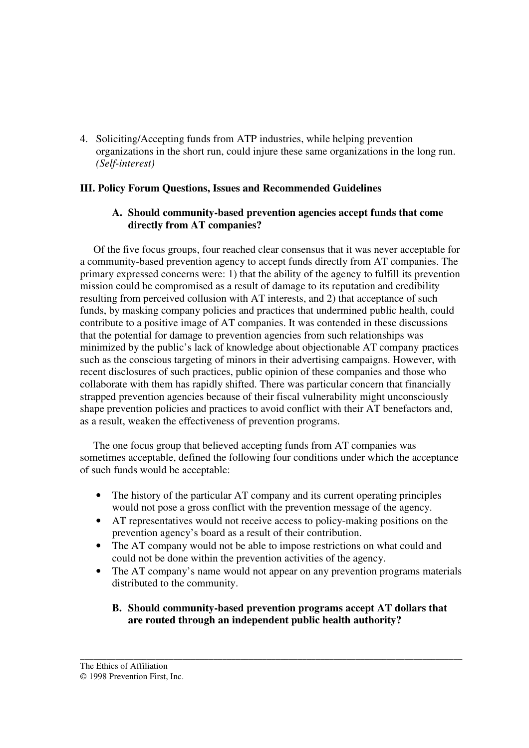4. Soliciting/Accepting funds from ATP industries, while helping prevention organizations in the short run, could injure these same organizations in the long run. *(Self-interest)*

## **III. Policy Forum Questions, Issues and Recommended Guidelines**

## **A. Should community-based prevention agencies accept funds that come directly from AT companies?**

 Of the five focus groups, four reached clear consensus that it was never acceptable for a community-based prevention agency to accept funds directly from AT companies. The primary expressed concerns were: 1) that the ability of the agency to fulfill its prevention mission could be compromised as a result of damage to its reputation and credibility resulting from perceived collusion with AT interests, and 2) that acceptance of such funds, by masking company policies and practices that undermined public health, could contribute to a positive image of AT companies. It was contended in these discussions that the potential for damage to prevention agencies from such relationships was minimized by the public's lack of knowledge about objectionable AT company practices such as the conscious targeting of minors in their advertising campaigns. However, with recent disclosures of such practices, public opinion of these companies and those who collaborate with them has rapidly shifted. There was particular concern that financially strapped prevention agencies because of their fiscal vulnerability might unconsciously shape prevention policies and practices to avoid conflict with their AT benefactors and, as a result, weaken the effectiveness of prevention programs.

 The one focus group that believed accepting funds from AT companies was sometimes acceptable, defined the following four conditions under which the acceptance of such funds would be acceptable:

- The history of the particular AT company and its current operating principles would not pose a gross conflict with the prevention message of the agency.
- AT representatives would not receive access to policy-making positions on the prevention agency's board as a result of their contribution.
- The AT company would not be able to impose restrictions on what could and could not be done within the prevention activities of the agency.
- The AT company's name would not appear on any prevention programs materials distributed to the community.
	- **B. Should community-based prevention programs accept AT dollars that are routed through an independent public health authority?**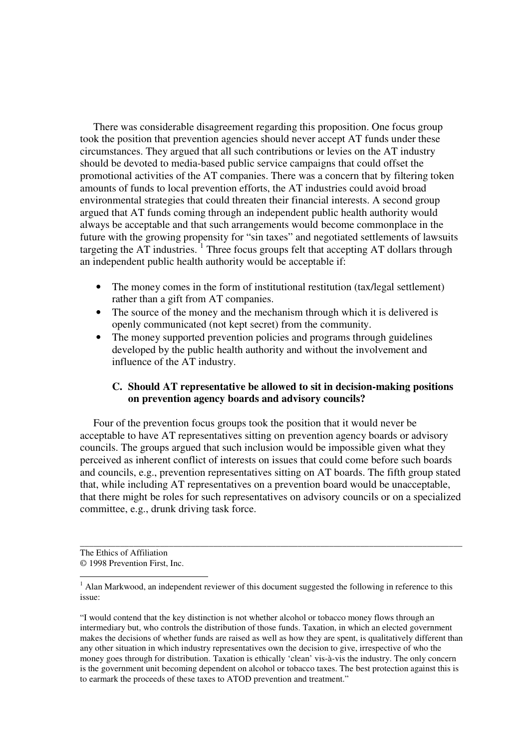There was considerable disagreement regarding this proposition. One focus group took the position that prevention agencies should never accept AT funds under these circumstances. They argued that all such contributions or levies on the AT industry should be devoted to media-based public service campaigns that could offset the promotional activities of the AT companies. There was a concern that by filtering token amounts of funds to local prevention efforts, the AT industries could avoid broad environmental strategies that could threaten their financial interests. A second group argued that AT funds coming through an independent public health authority would always be acceptable and that such arrangements would become commonplace in the future with the growing propensity for "sin taxes" and negotiated settlements of lawsuits targeting the  $AT$  industries.<sup>1</sup> Three focus groups felt that accepting  $AT$  dollars through an independent public health authority would be acceptable if:

- The money comes in the form of institutional restitution (tax/legal settlement) rather than a gift from AT companies.
- The source of the money and the mechanism through which it is delivered is openly communicated (not kept secret) from the community.
- The money supported prevention policies and programs through guidelines developed by the public health authority and without the involvement and influence of the AT industry.

## **C. Should AT representative be allowed to sit in decision-making positions on prevention agency boards and advisory councils?**

 Four of the prevention focus groups took the position that it would never be acceptable to have AT representatives sitting on prevention agency boards or advisory councils. The groups argued that such inclusion would be impossible given what they perceived as inherent conflict of interests on issues that could come before such boards and councils, e.g., prevention representatives sitting on AT boards. The fifth group stated that, while including AT representatives on a prevention board would be unacceptable, that there might be roles for such representatives on advisory councils or on a specialized committee, e.g., drunk driving task force.

The Ethics of Affiliation © 1998 Prevention First, Inc.

 $\overline{a}$ 

<sup>&</sup>lt;sup>1</sup> Alan Markwood, an independent reviewer of this document suggested the following in reference to this issue:

<sup>&</sup>quot;I would contend that the key distinction is not whether alcohol or tobacco money flows through an intermediary but, who controls the distribution of those funds. Taxation, in which an elected government makes the decisions of whether funds are raised as well as how they are spent, is qualitatively different than any other situation in which industry representatives own the decision to give, irrespective of who the money goes through for distribution. Taxation is ethically 'clean' vis-à-vis the industry. The only concern is the government unit becoming dependent on alcohol or tobacco taxes. The best protection against this is to earmark the proceeds of these taxes to ATOD prevention and treatment."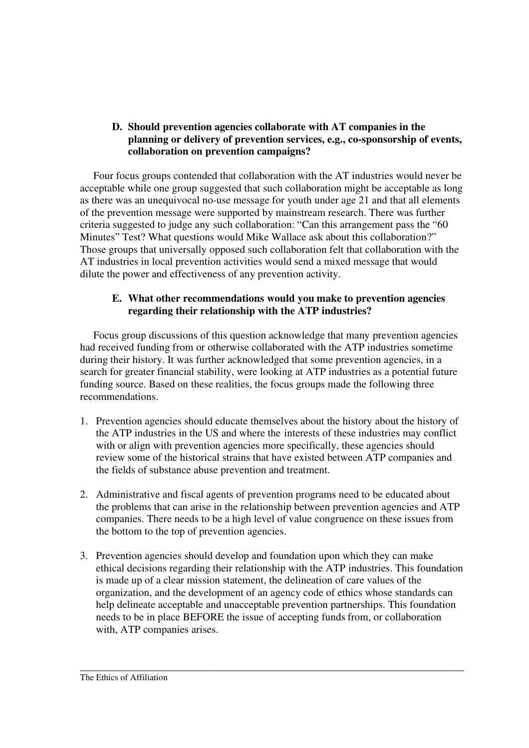## **D. Should prevention agencies collaborate with AT companies in the planning or delivery of prevention services, e.g., co-sponsorship of events, collaboration on prevention campaigns?**

 Four focus groups contended that collaboration with the AT industries would never be acceptable while one group suggested that such collaboration might be acceptable as long as there was an unequivocal no-use message for youth under age 21 and that all elements of the prevention message were supported by mainstream research. There was further criteria suggested to judge any such collaboration: "Can this arrangement pass the "60 Minutes" Test? What questions would Mike Wallace ask about this collaboration?" Those groups that universally opposed such collaboration felt that collaboration with the AT industries in local prevention activities would send a mixed message that would dilute the power and effectiveness of any prevention activity.

## **E. What other recommendations would you make to prevention agencies regarding their relationship with the ATP industries?**

 Focus group discussions of this question acknowledge that many prevention agencies had received funding from or otherwise collaborated with the ATP industries sometime during their history. It was further acknowledged that some prevention agencies, in a search for greater financial stability, were looking at ATP industries as a potential future funding source. Based on these realities, the focus groups made the following three recommendations.

- 1. Prevention agencies should educate themselves about the history about the history of the ATP industries in the US and where the interests of these industries may conflict with or align with prevention agencies more specifically, these agencies should review some of the historical strains that have existed between ATP companies and the fields of substance abuse prevention and treatment.
- 2. Administrative and fiscal agents of prevention programs need to be educated about the problems that can arise in the relationship between prevention agencies and ATP companies. There needs to be a high level of value congruence on these issues from the bottom to the top of prevention agencies.
- 3. Prevention agencies should develop and foundation upon which they can make ethical decisions regarding their relationship with the ATP industries. This foundation is made up of a clear mission statement, the delineation of care values of the organization, and the development of an agency code of ethics whose standards can help delineate acceptable and unacceptable prevention partnerships. This foundation needs to be in place BEFORE the issue of accepting funds from, or collaboration with, ATP companies arises.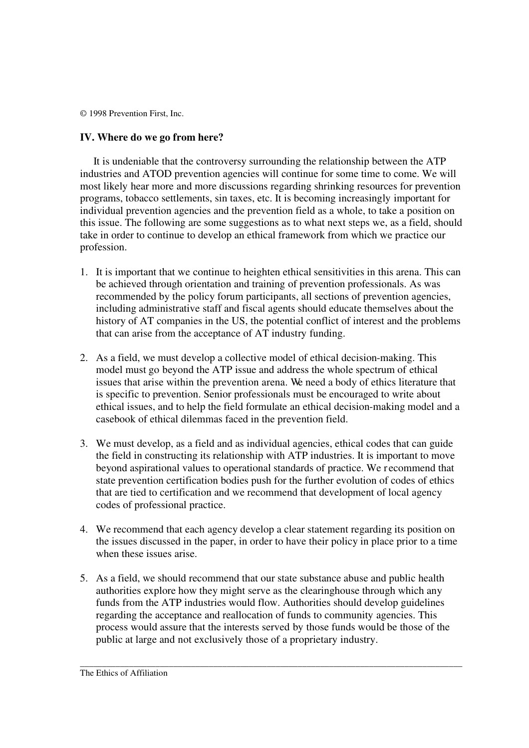## **IV. Where do we go from here?**

 It is undeniable that the controversy surrounding the relationship between the ATP industries and ATOD prevention agencies will continue for some time to come. We will most likely hear more and more discussions regarding shrinking resources for prevention programs, tobacco settlements, sin taxes, etc. It is becoming increasingly important for individual prevention agencies and the prevention field as a whole, to take a position on this issue. The following are some suggestions as to what next steps we, as a field, should take in order to continue to develop an ethical framework from which we practice our profession.

- 1. It is important that we continue to heighten ethical sensitivities in this arena. This can be achieved through orientation and training of prevention professionals. As was recommended by the policy forum participants, all sections of prevention agencies, including administrative staff and fiscal agents should educate themselves about the history of AT companies in the US, the potential conflict of interest and the problems that can arise from the acceptance of AT industry funding.
- 2. As a field, we must develop a collective model of ethical decision-making. This model must go beyond the ATP issue and address the whole spectrum of ethical issues that arise within the prevention arena. We need a body of ethics literature that is specific to prevention. Senior professionals must be encouraged to write about ethical issues, and to help the field formulate an ethical decision-making model and a casebook of ethical dilemmas faced in the prevention field.
- 3. We must develop, as a field and as individual agencies, ethical codes that can guide the field in constructing its relationship with ATP industries. It is important to move beyond aspirational values to operational standards of practice. We r ecommend that state prevention certification bodies push for the further evolution of codes of ethics that are tied to certification and we recommend that development of local agency codes of professional practice.
- 4. We recommend that each agency develop a clear statement regarding its position on the issues discussed in the paper, in order to have their policy in place prior to a time when these issues arise.
- 5. As a field, we should recommend that our state substance abuse and public health authorities explore how they might serve as the clearinghouse through which any funds from the ATP industries would flow. Authorities should develop guidelines regarding the acceptance and reallocation of funds to community agencies. This process would assure that the interests served by those funds would be those of the public at large and not exclusively those of a proprietary industry.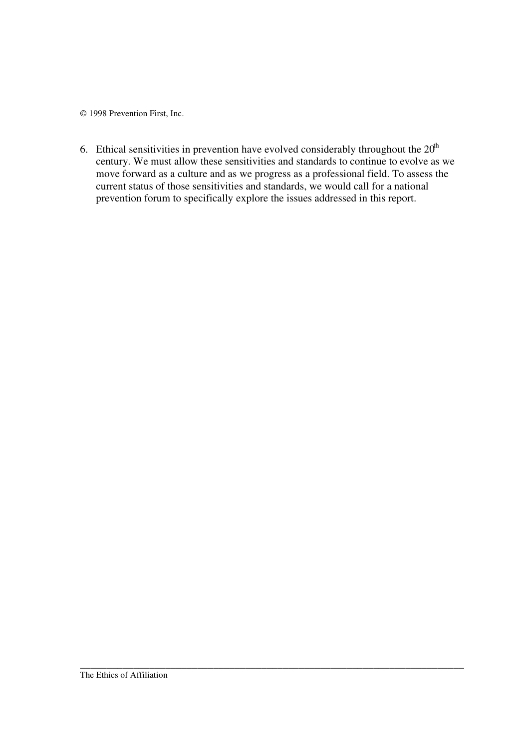6. Ethical sensitivities in prevention have evolved considerably throughout the  $20<sup>th</sup>$ century. We must allow these sensitivities and standards to continue to evolve as we move forward as a culture and as we progress as a professional field. To assess the current status of those sensitivities and standards, we would call for a national prevention forum to specifically explore the issues addressed in this report.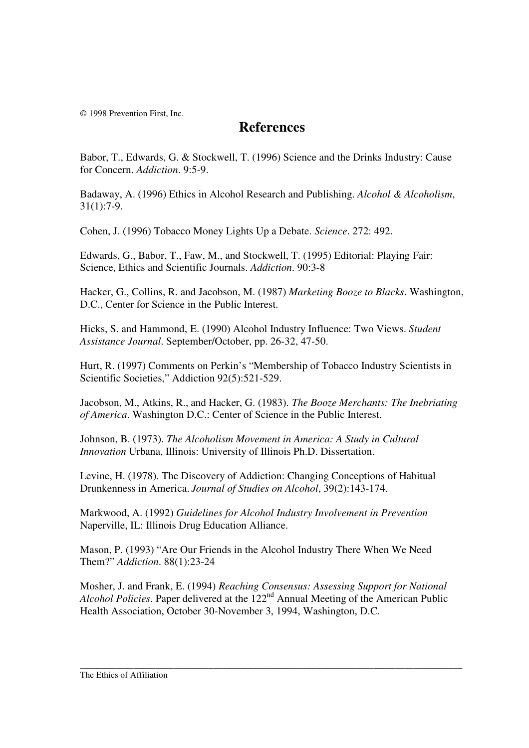## **References**

Babor, T., Edwards, G. & Stockwell, T. (1996) Science and the Drinks Industry: Cause for Concern. *Addiction*. 9:5-9.

Badaway, A. (1996) Ethics in Alcohol Research and Publishing. *Alcohol & Alcoholism*, 31(1):7-9.

Cohen, J. (1996) Tobacco Money Lights Up a Debate. *Science*. 272: 492.

Edwards, G., Babor, T., Faw, M., and Stockwell, T. (1995) Editorial: Playing Fair: Science, Ethics and Scientific Journals. *Addiction*. 90:3-8

Hacker, G., Collins, R. and Jacobson, M. (1987) *Marketing Booze to Blacks*. Washington, D.C., Center for Science in the Public Interest.

Hicks, S. and Hammond, E. (1990) Alcohol Industry Influence: Two Views. *Student Assistance Journal*. September/October, pp. 26-32, 47-50.

Hurt, R. (1997) Comments on Perkin's "Membership of Tobacco Industry Scientists in Scientific Societies," Addiction 92(5):521-529.

Jacobson, M., Atkins, R., and Hacker, G. (1983). *The Booze Merchants: The Inebriating of America*. Washington D.C.: Center of Science in the Public Interest.

Johnson, B. (1973). *The Alcoholism Movement in America: A Study in Cultural Innovation* Urbana, Illinois: University of Illinois Ph.D. Dissertation.

Levine, H. (1978). The Discovery of Addiction: Changing Conceptions of Habitual Drunkenness in America. *Journal of Studies on Alcohol*, 39(2):143-174.

Markwood, A. (1992) *Guidelines for Alcohol Industry Involvement in Prevention* Naperville, IL: Illinois Drug Education Alliance.

Mason, P. (1993) "Are Our Friends in the Alcohol Industry There When We Need Them?" *Addiction*. 88(1):23-24

Mosher, J. and Frank, E. (1994) *Reaching Consensus: Assessing Support for National Alcohol Policies*. Paper delivered at the 122<sup>nd</sup> Annual Meeting of the American Public Health Association, October 30-November 3, 1994, Washington, D.C.